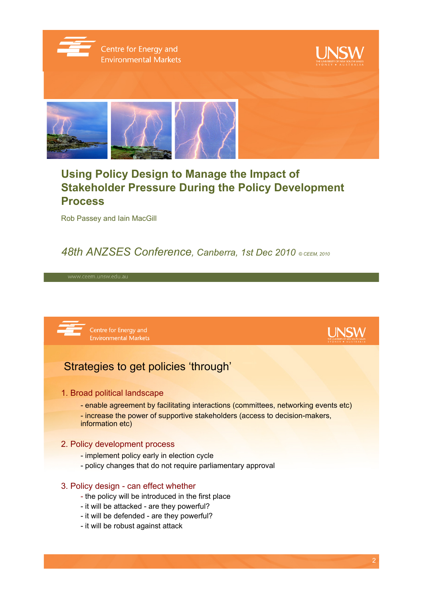

Centre for Energy and **Environmental Markets** 





# **Using Policy Design to Manage the Impact of Stakeholder Pressure During the Policy Development Process**

Rob Passey and Iain MacGill

### *48th ANZSES Conference, Canberra, 1st Dec 2010 © CEEM, 2010*



### 3. Policy design - can effect whether

- the policy will be introduced in the first place
- it will be attacked are they powerful?
- it will be defended are they powerful?
- it will be robust against attack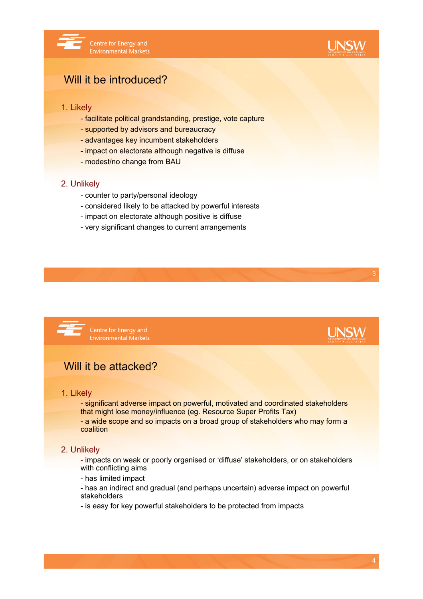



### Will it be introduced?

#### 1. Likely

- facilitate political grandstanding, prestige, vote capture
- supported by advisors and bureaucracy
- advantages key incumbent stakeholders
- impact on electorate although negative is diffuse
- modest/no change from BAU

#### 2. Unlikely

- counter to party/personal ideology
- considered likely to be attacked by powerful interests
- impact on electorate although positive is diffuse
- very significant changes to current arrangements



Centre for Energy and **Environmental Markets** 

# **UNSW**

### Will it be attacked?

#### 1. Likely

- significant adverse impact on powerful, motivated and coordinated stakeholders that might lose money/influence (eg. Resource Super Profits Tax)

- a wide scope and so impacts on a broad group of stakeholders who may form a coalition

#### 2. Unlikely

- impacts on weak or poorly organised or 'diffuse' stakeholders, or on stakeholders with conflicting aims

- has limited impact

- has an indirect and gradual (and perhaps uncertain) adverse impact on powerful stakeholders

- is easy for key powerful stakeholders to be protected from impacts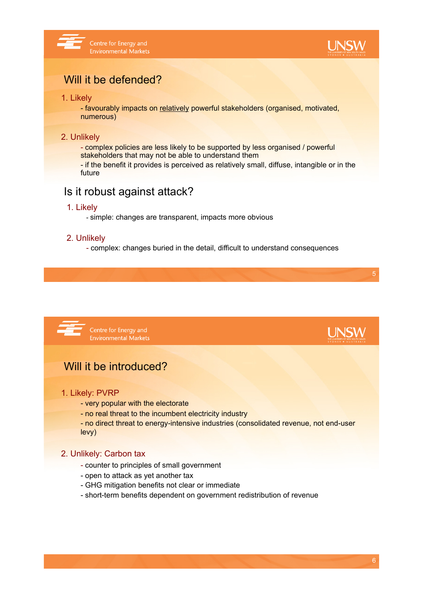



# Will it be defended?

#### 1. Likely

- favourably impacts on relatively powerful stakeholders (organised, motivated, numerous)

#### 2. Unlikely

- complex policies are less likely to be supported by less organised / powerful stakeholders that may not be able to understand them - if the benefit it provides is perceived as relatively small, diffuse, intangible or in the future

### Is it robust against attack?

#### 1. Likely

- simple: changes are transparent, impacts more obvious

#### 2. Unlikely

- complex: changes buried in the detail, difficult to understand consequences





- no real threat to the incumbent electricity industry

- no direct threat to energy-intensive industries (consolidated revenue, not end-user levy)

#### 2. Unlikely: Carbon tax

- counter to principles of small government
- open to attack as yet another tax
- GHG mitigation benefits not clear or immediate
- short-term benefits dependent on government redistribution of revenue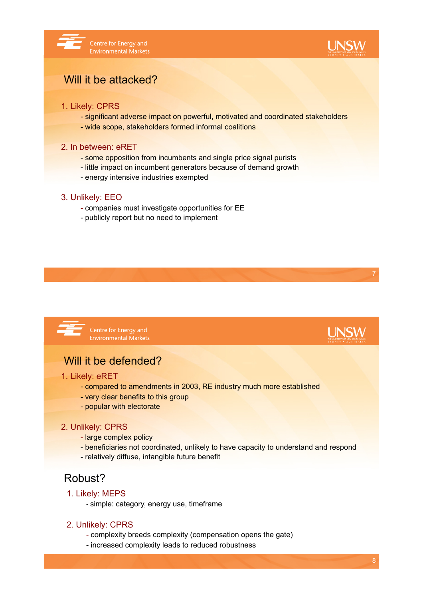



**LINSW** 

# Will it be attacked?

#### 1. Likely: CPRS

- significant adverse impact on powerful, motivated and coordinated stakeholders
- wide scope, stakeholders formed informal coalitions

#### 2. In between: eRET

- some opposition from incumbents and single price signal purists
- little impact on incumbent generators because of demand growth
- energy intensive industries exempted

#### 3. Unlikely: EEO

- companies must investigate opportunities for EE
- publicly report but no need to implement



Centre for Energy and **Environmental Markets** 

# Will it be defended?

#### 1. Likely: eRET

- compared to amendments in 2003, RE industry much more established
- very clear benefits to this group
- popular with electorate

#### 2. Unlikely: CPRS

- large complex policy
- beneficiaries not coordinated, unlikely to have capacity to understand and respond
- relatively diffuse, intangible future benefit

### Robust?

#### 1. Likely: MEPS

- simple: category, energy use, timeframe

#### 2. Unlikely: CPRS

- complexity breeds complexity (compensation opens the gate)
- increased complexity leads to reduced robustness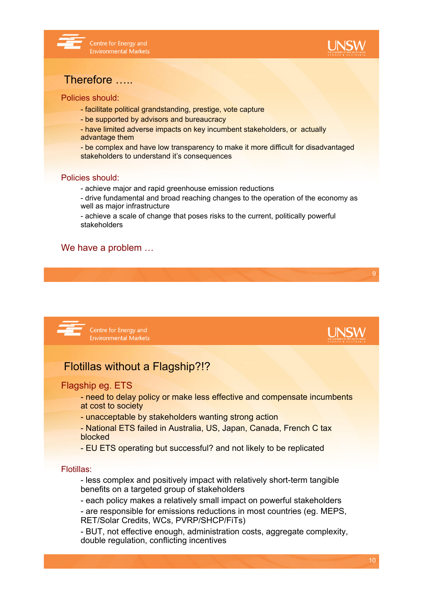



### Therefore …..

#### Policies should:

- facilitate political grandstanding, prestige, vote capture
- be supported by advisors and bureaucracy
- have limited adverse impacts on key incumbent stakeholders, or actually advantage them
- be complex and have low transparency to make it more difficult for disadvantaged stakeholders to understand it's consequences

#### Policies should:

- achieve major and rapid greenhouse emission reductions
- drive fundamental and broad reaching changes to the operation of the economy as well as major infrastructure
- achieve a scale of change that poses risks to the current, politically powerful stakeholders

#### We have a problem …



- need to delay policy or make less effective and compensate incumbents at cost to society
- unacceptable by stakeholders wanting strong action
- National ETS failed in Australia, US, Japan, Canada, French C tax blocked
- EU ETS operating but successful? and not likely to be replicated

#### Flotillas:

- less complex and positively impact with relatively short-term tangible benefits on a targeted group of stakeholders
- each policy makes a relatively small impact on powerful stakeholders - are responsible for emissions reductions in most countries (eg. MEPS, RET/Solar Credits, WCs, PVRP/SHCP/FiTs)
- BUT, not effective enough, administration costs, aggregate complexity, double regulation, conflicting incentives